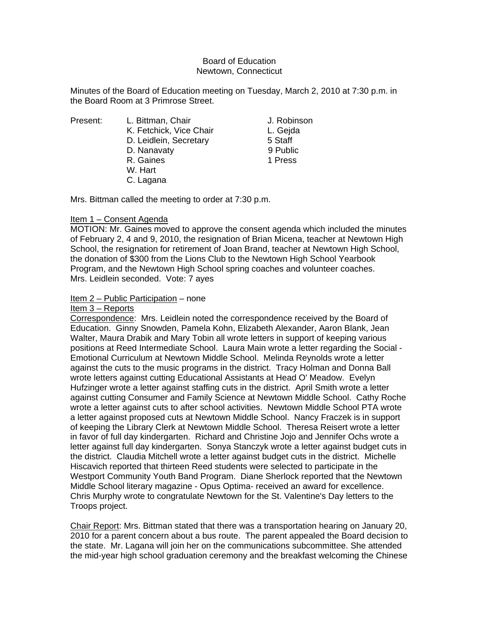### Board of Education Newtown, Connecticut

Minutes of the Board of Education meeting on Tuesday, March 2, 2010 at 7:30 p.m. in the Board Room at 3 Primrose Street.

Present: L. Bittman, Chair Chair J. Robinson K. Fetchick, Vice Chair L. Gejda D. Leidlein, Secretary 5 Staff D. Nanavaty 9 Public R. Gaines **1 Press**  W. Hart C. Lagana

Mrs. Bittman called the meeting to order at 7:30 p.m.

# Item 1 – Consent Agenda

MOTION: Mr. Gaines moved to approve the consent agenda which included the minutes of February 2, 4 and 9, 2010, the resignation of Brian Micena, teacher at Newtown High School, the resignation for retirement of Joan Brand, teacher at Newtown High School, the donation of \$300 from the Lions Club to the Newtown High School Yearbook Program, and the Newtown High School spring coaches and volunteer coaches. Mrs. Leidlein seconded. Vote: 7 ayes

# Item 2 – Public Participation – none

Item 3 – Reports

Correspondence: Mrs. Leidlein noted the correspondence received by the Board of Education. Ginny Snowden, Pamela Kohn, Elizabeth Alexander, Aaron Blank, Jean Walter, Maura Drabik and Mary Tobin all wrote letters in support of keeping various positions at Reed Intermediate School. Laura Main wrote a letter regarding the Social - Emotional Curriculum at Newtown Middle School. Melinda Reynolds wrote a letter against the cuts to the music programs in the district. Tracy Holman and Donna Ball wrote letters against cutting Educational Assistants at Head O' Meadow. Evelyn Hufzinger wrote a letter against staffing cuts in the district. April Smith wrote a letter against cutting Consumer and Family Science at Newtown Middle School. Cathy Roche wrote a letter against cuts to after school activities. Newtown Middle School PTA wrote a letter against proposed cuts at Newtown Middle School. Nancy Fraczek is in support of keeping the Library Clerk at Newtown Middle School. Theresa Reisert wrote a letter in favor of full day kindergarten. Richard and Christine Jojo and Jennifer Ochs wrote a letter against full day kindergarten. Sonya Stanczyk wrote a letter against budget cuts in the district. Claudia Mitchell wrote a letter against budget cuts in the district. Michelle Hiscavich reported that thirteen Reed students were selected to participate in the Westport Community Youth Band Program. Diane Sherlock reported that the Newtown Middle School literary magazine - Opus Optima- received an award for excellence. Chris Murphy wrote to congratulate Newtown for the St. Valentine's Day letters to the Troops project.

Chair Report: Mrs. Bittman stated that there was a transportation hearing on January 20, 2010 for a parent concern about a bus route. The parent appealed the Board decision to the state. Mr. Lagana will join her on the communications subcommittee. She attended the mid-year high school graduation ceremony and the breakfast welcoming the Chinese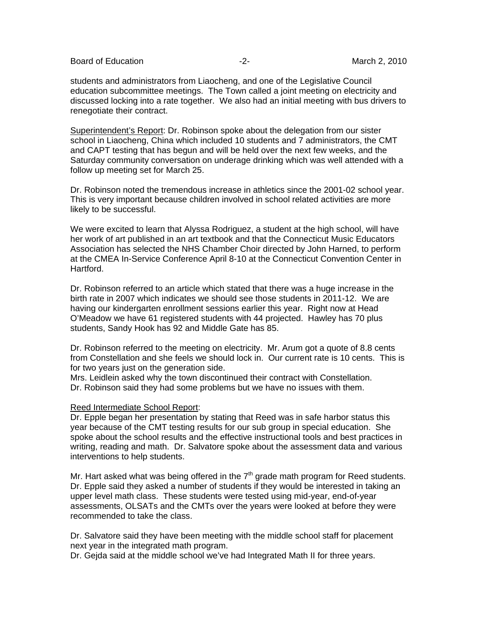Board of Education **-2-** All the second of Education **-2-** All the March 2, 2010

students and administrators from Liaocheng, and one of the Legislative Council education subcommittee meetings. The Town called a joint meeting on electricity and discussed locking into a rate together. We also had an initial meeting with bus drivers to renegotiate their contract.

Superintendent's Report: Dr. Robinson spoke about the delegation from our sister school in Liaocheng, China which included 10 students and 7 administrators, the CMT and CAPT testing that has begun and will be held over the next few weeks, and the Saturday community conversation on underage drinking which was well attended with a follow up meeting set for March 25.

Dr. Robinson noted the tremendous increase in athletics since the 2001-02 school year. This is very important because children involved in school related activities are more likely to be successful.

We were excited to learn that Alyssa Rodriguez, a student at the high school, will have her work of art published in an art textbook and that the Connecticut Music Educators Association has selected the NHS Chamber Choir directed by John Harned, to perform at the CMEA In-Service Conference April 8-10 at the Connecticut Convention Center in Hartford.

Dr. Robinson referred to an article which stated that there was a huge increase in the birth rate in 2007 which indicates we should see those students in 2011-12. We are having our kindergarten enrollment sessions earlier this year. Right now at Head O'Meadow we have 61 registered students with 44 projected. Hawley has 70 plus students, Sandy Hook has 92 and Middle Gate has 85.

Dr. Robinson referred to the meeting on electricity. Mr. Arum got a quote of 8.8 cents from Constellation and she feels we should lock in. Our current rate is 10 cents. This is for two years just on the generation side.

Mrs. Leidlein asked why the town discontinued their contract with Constellation. Dr. Robinson said they had some problems but we have no issues with them.

#### Reed Intermediate School Report:

Dr. Epple began her presentation by stating that Reed was in safe harbor status this year because of the CMT testing results for our sub group in special education. She spoke about the school results and the effective instructional tools and best practices in writing, reading and math. Dr. Salvatore spoke about the assessment data and various interventions to help students.

Mr. Hart asked what was being offered in the  $7<sup>th</sup>$  grade math program for Reed students. Dr. Epple said they asked a number of students if they would be interested in taking an upper level math class. These students were tested using mid-year, end-of-year assessments, OLSATs and the CMTs over the years were looked at before they were recommended to take the class.

Dr. Salvatore said they have been meeting with the middle school staff for placement next year in the integrated math program.

Dr. Gejda said at the middle school we've had Integrated Math II for three years.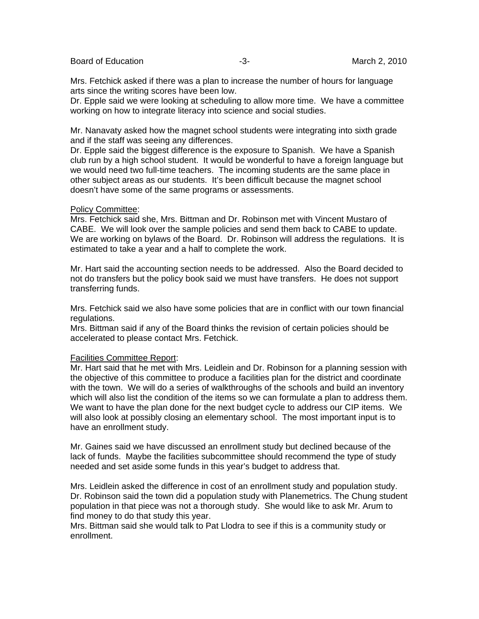Board of Education  $-3$ -  $-3$ - March 2, 2010

Mrs. Fetchick asked if there was a plan to increase the number of hours for language arts since the writing scores have been low.

Dr. Epple said we were looking at scheduling to allow more time. We have a committee working on how to integrate literacy into science and social studies.

Mr. Nanavaty asked how the magnet school students were integrating into sixth grade and if the staff was seeing any differences.

Dr. Epple said the biggest difference is the exposure to Spanish. We have a Spanish club run by a high school student. It would be wonderful to have a foreign language but we would need two full-time teachers. The incoming students are the same place in other subject areas as our students. It's been difficult because the magnet school doesn't have some of the same programs or assessments.

#### Policy Committee:

Mrs. Fetchick said she, Mrs. Bittman and Dr. Robinson met with Vincent Mustaro of CABE. We will look over the sample policies and send them back to CABE to update. We are working on bylaws of the Board. Dr. Robinson will address the regulations. It is estimated to take a year and a half to complete the work.

Mr. Hart said the accounting section needs to be addressed. Also the Board decided to not do transfers but the policy book said we must have transfers. He does not support transferring funds.

Mrs. Fetchick said we also have some policies that are in conflict with our town financial regulations.

Mrs. Bittman said if any of the Board thinks the revision of certain policies should be accelerated to please contact Mrs. Fetchick.

#### Facilities Committee Report:

Mr. Hart said that he met with Mrs. Leidlein and Dr. Robinson for a planning session with the objective of this committee to produce a facilities plan for the district and coordinate with the town. We will do a series of walkthroughs of the schools and build an inventory which will also list the condition of the items so we can formulate a plan to address them. We want to have the plan done for the next budget cycle to address our CIP items. We will also look at possibly closing an elementary school. The most important input is to have an enrollment study.

Mr. Gaines said we have discussed an enrollment study but declined because of the lack of funds. Maybe the facilities subcommittee should recommend the type of study needed and set aside some funds in this year's budget to address that.

Mrs. Leidlein asked the difference in cost of an enrollment study and population study. Dr. Robinson said the town did a population study with Planemetrics. The Chung student population in that piece was not a thorough study. She would like to ask Mr. Arum to find money to do that study this year.

Mrs. Bittman said she would talk to Pat Llodra to see if this is a community study or enrollment.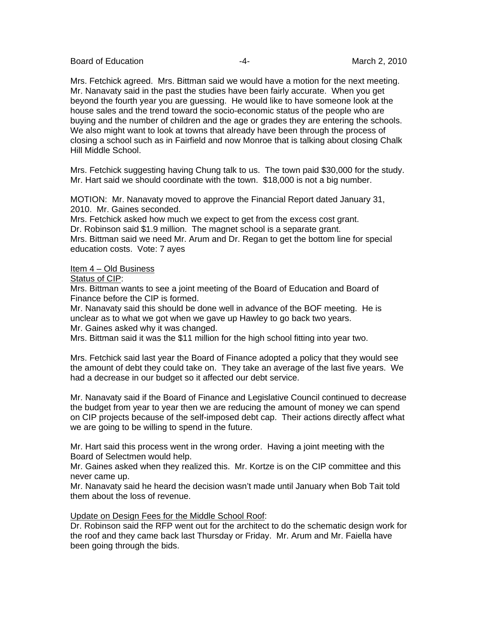Board of Education  $-4$ -  $-4$ - March 2, 2010

Mrs. Fetchick agreed. Mrs. Bittman said we would have a motion for the next meeting. Mr. Nanavaty said in the past the studies have been fairly accurate. When you get beyond the fourth year you are guessing. He would like to have someone look at the house sales and the trend toward the socio-economic status of the people who are buying and the number of children and the age or grades they are entering the schools. We also might want to look at towns that already have been through the process of closing a school such as in Fairfield and now Monroe that is talking about closing Chalk Hill Middle School.

Mrs. Fetchick suggesting having Chung talk to us. The town paid \$30,000 for the study. Mr. Hart said we should coordinate with the town. \$18,000 is not a big number.

MOTION: Mr. Nanavaty moved to approve the Financial Report dated January 31, 2010. Mr. Gaines seconded.

Mrs. Fetchick asked how much we expect to get from the excess cost grant. Dr. Robinson said \$1.9 million. The magnet school is a separate grant. Mrs. Bittman said we need Mr. Arum and Dr. Regan to get the bottom line for special education costs. Vote: 7 ayes

Item 4 – Old Business

Status of CIP:

Mrs. Bittman wants to see a joint meeting of the Board of Education and Board of Finance before the CIP is formed.

Mr. Nanavaty said this should be done well in advance of the BOF meeting. He is unclear as to what we got when we gave up Hawley to go back two years.

Mr. Gaines asked why it was changed.

Mrs. Bittman said it was the \$11 million for the high school fitting into year two.

Mrs. Fetchick said last year the Board of Finance adopted a policy that they would see the amount of debt they could take on. They take an average of the last five years. We had a decrease in our budget so it affected our debt service.

Mr. Nanavaty said if the Board of Finance and Legislative Council continued to decrease the budget from year to year then we are reducing the amount of money we can spend on CIP projects because of the self-imposed debt cap. Their actions directly affect what we are going to be willing to spend in the future.

Mr. Hart said this process went in the wrong order. Having a joint meeting with the Board of Selectmen would help.

Mr. Gaines asked when they realized this. Mr. Kortze is on the CIP committee and this never came up.

Mr. Nanavaty said he heard the decision wasn't made until January when Bob Tait told them about the loss of revenue.

### Update on Design Fees for the Middle School Roof:

Dr. Robinson said the RFP went out for the architect to do the schematic design work for the roof and they came back last Thursday or Friday. Mr. Arum and Mr. Faiella have been going through the bids.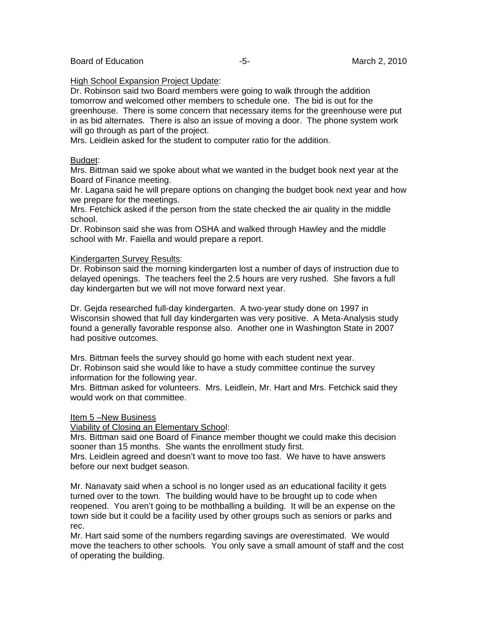### High School Expansion Project Update:

Dr. Robinson said two Board members were going to walk through the addition tomorrow and welcomed other members to schedule one. The bid is out for the greenhouse. There is some concern that necessary items for the greenhouse were put in as bid alternates. There is also an issue of moving a door. The phone system work will go through as part of the project.

Mrs. Leidlein asked for the student to computer ratio for the addition.

### Budget:

Mrs. Bittman said we spoke about what we wanted in the budget book next year at the Board of Finance meeting.

Mr. Lagana said he will prepare options on changing the budget book next year and how we prepare for the meetings.

Mrs. Fetchick asked if the person from the state checked the air quality in the middle school.

Dr. Robinson said she was from OSHA and walked through Hawley and the middle school with Mr. Faiella and would prepare a report.

### Kindergarten Survey Results:

Dr. Robinson said the morning kindergarten lost a number of days of instruction due to delayed openings. The teachers feel the 2.5 hours are very rushed. She favors a full day kindergarten but we will not move forward next year.

Dr. Gejda researched full-day kindergarten. A two-year study done on 1997 in Wisconsin showed that full day kindergarten was very positive. A Meta-Analysis study found a generally favorable response also. Another one in Washington State in 2007 had positive outcomes.

Mrs. Bittman feels the survey should go home with each student next year. Dr. Robinson said she would like to have a study committee continue the survey information for the following year.

Mrs. Bittman asked for volunteers. Mrs. Leidlein, Mr. Hart and Mrs. Fetchick said they would work on that committee.

### Item 5 –New Business

Viability of Closing an Elementary School:

Mrs. Bittman said one Board of Finance member thought we could make this decision sooner than 15 months. She wants the enrollment study first.

Mrs. Leidlein agreed and doesn't want to move too fast. We have to have answers before our next budget season.

Mr. Nanavaty said when a school is no longer used as an educational facility it gets turned over to the town. The building would have to be brought up to code when reopened. You aren't going to be mothballing a building. It will be an expense on the town side but it could be a facility used by other groups such as seniors or parks and rec.

Mr. Hart said some of the numbers regarding savings are overestimated. We would move the teachers to other schools. You only save a small amount of staff and the cost of operating the building.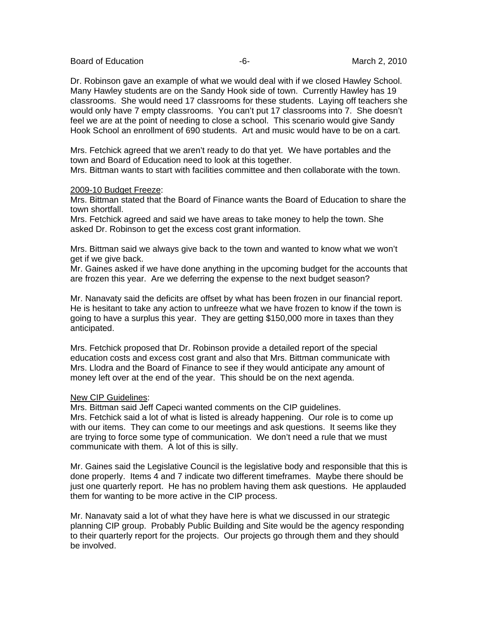Board of Education  $-6$ - Board of Education  $-6$ -

Dr. Robinson gave an example of what we would deal with if we closed Hawley School. Many Hawley students are on the Sandy Hook side of town. Currently Hawley has 19 classrooms. She would need 17 classrooms for these students. Laying off teachers she would only have 7 empty classrooms. You can't put 17 classrooms into 7. She doesn't feel we are at the point of needing to close a school. This scenario would give Sandy Hook School an enrollment of 690 students. Art and music would have to be on a cart.

Mrs. Fetchick agreed that we aren't ready to do that yet. We have portables and the town and Board of Education need to look at this together.

Mrs. Bittman wants to start with facilities committee and then collaborate with the town.

### 2009-10 Budget Freeze:

Mrs. Bittman stated that the Board of Finance wants the Board of Education to share the town shortfall.

Mrs. Fetchick agreed and said we have areas to take money to help the town. She asked Dr. Robinson to get the excess cost grant information.

Mrs. Bittman said we always give back to the town and wanted to know what we won't get if we give back.

Mr. Gaines asked if we have done anything in the upcoming budget for the accounts that are frozen this year. Are we deferring the expense to the next budget season?

Mr. Nanavaty said the deficits are offset by what has been frozen in our financial report. He is hesitant to take any action to unfreeze what we have frozen to know if the town is going to have a surplus this year. They are getting \$150,000 more in taxes than they anticipated.

Mrs. Fetchick proposed that Dr. Robinson provide a detailed report of the special education costs and excess cost grant and also that Mrs. Bittman communicate with Mrs. Llodra and the Board of Finance to see if they would anticipate any amount of money left over at the end of the year. This should be on the next agenda.

### New CIP Guidelines:

Mrs. Bittman said Jeff Capeci wanted comments on the CIP guidelines. Mrs. Fetchick said a lot of what is listed is already happening. Our role is to come up with our items. They can come to our meetings and ask questions. It seems like they are trying to force some type of communication. We don't need a rule that we must communicate with them. A lot of this is silly.

Mr. Gaines said the Legislative Council is the legislative body and responsible that this is done properly. Items 4 and 7 indicate two different timeframes. Maybe there should be just one quarterly report. He has no problem having them ask questions. He applauded them for wanting to be more active in the CIP process.

Mr. Nanavaty said a lot of what they have here is what we discussed in our strategic planning CIP group. Probably Public Building and Site would be the agency responding to their quarterly report for the projects. Our projects go through them and they should be involved.